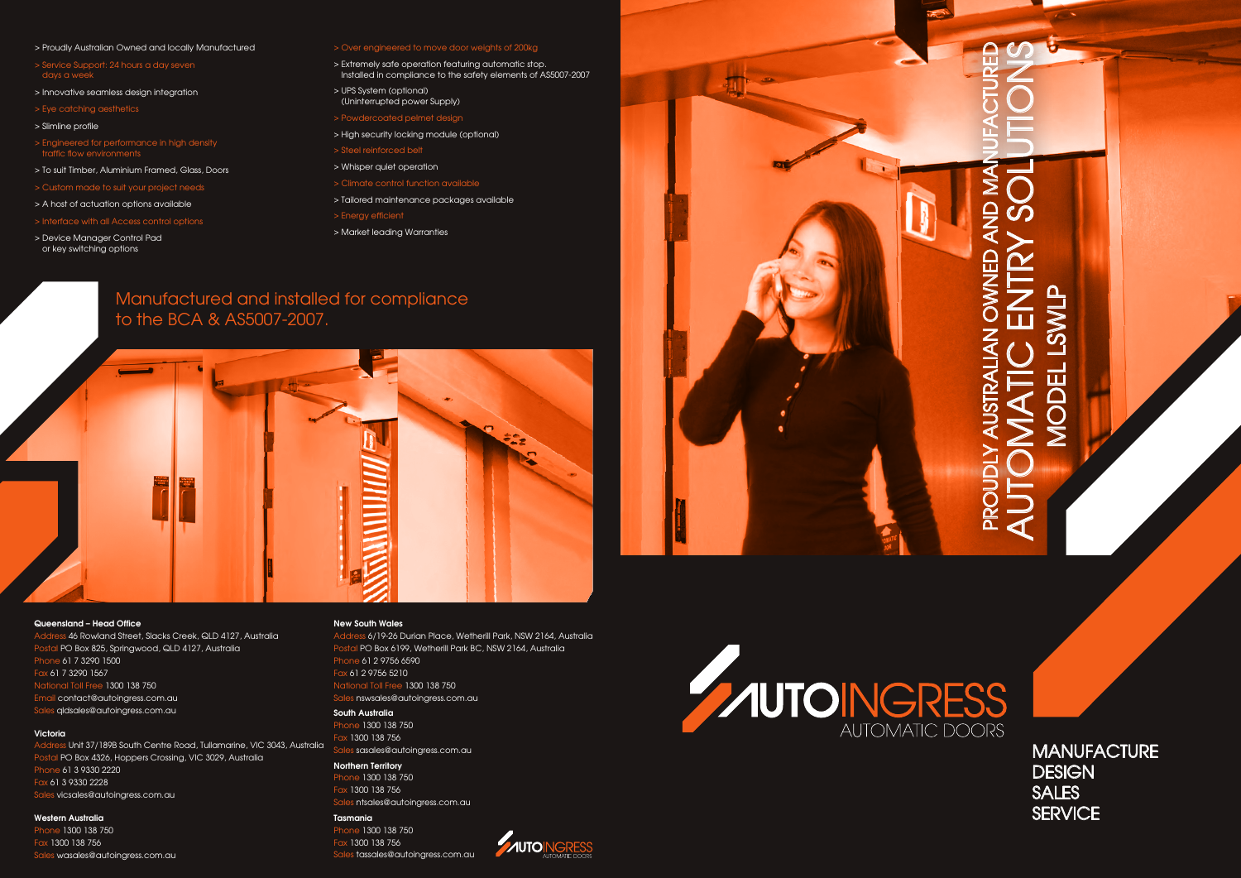- > Proudly Australian Owned and locally Manufactured
- > Service Support: 24 hours a day seven days a week
- > Innovative seamless design integration
- > Eye catching aesthetics
- > Slimline profile
- > Engineered for performance in high density traffic flow environments
- > To suit Timber, Aluminium Framed, Glass, Doors
- > Custom made to suit your project needs
- > A host of actuation options available
- > Interface with all Access control options
- > Device Manager Control Pad or key switching options

### > Over engineered to move door weights of 200kg

- > Extremely safe operation featuring automatic stop. Installed in compliance to the safety elements of AS5007-2007
- > UPS System (optional) (Uninterrupted power Supply)
- > Powdercoated pelmet design
- > High security locking module (optional)
- > Steel reinforced belt
- > Whisper quiet operation
- > Climate control function available
- > Tailored maintenance packages available
- > Energy efficient
- > Market leading Warranties

**Northern Territory** Phone 1300 138 750 Fax 1300 138 756

### Queensland – Head Office

# PROUDLY AUSTRALIAN OWNED AND MANUFACTURED SERVICENTRY SOLUTIONS ๔ AUSTRAI IAN īπ

Address 46 Rowland Street, Slacks Creek, QLD 4127, Australia Postal PO Box 825, Springwood, QLD 4127, Australia Phone 61 7 3290 1500 Fax 61 7 3290 1567 National Toll Free 1300 138 750 Email contact@autoingress.com.au Sales qldsales@autoingress.com.au

### **Victoria**

Address Unit 37/189B South Centre Road, Tullamarine, VIC 3043, Australia Postal PO Box 4326, Hoppers Crossing, VIC 3029, Australia Phone 61 3 9330 2220 Fax 61 3 9330 2228 Sales vicsales@autoingress.com.au

### Western Australia

Phone 1300 138 750 Fax 1300 138 756 Sales wasales@autoingress.com.au

### New South Wales

Address 6/19-26 Durian Place, Wetherill Park, NSW 2164, Australia Postal PO Box 6199, Wetherill Park BC, NSW 2164, Australia Phone 61 2 9756 6590 Fax 61 2 9756 5210 National Toll Free 1300 138 750 Sales nswsales@autoingress.com.au

*AUTOINGRESS* 

### South Australia

Phone 1300 138 750 Fax 1300 138 756 Sales sasales@autoingress.com.au

Sales ntsales@autoingress.com.au

### Tasmania Phone 1300 138 750

Fax 1300 138 756 Sales tassales@autoingress.com.au





**MANUFACTURE DESIGN** SALES **SERVICE** 

### Manufactured and installed for compliance to the BCA & AS5007-2007.